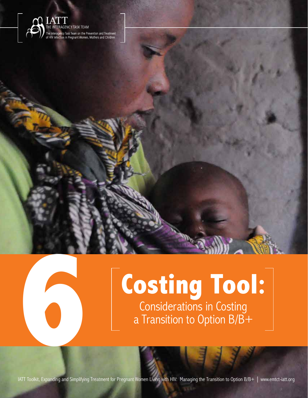

# **Costing Tool: Costing Too**<br> **6 Costing Too**<br> **6 Costing 6 Costing 6 Considerations in Costing**<br> **6 Fransition to Option B/B+**

Costing Tool: Considerations in Costing a Transition to Option B/B+

**6**

**93** IATT Toolkit, Expanding and Simplifying Treatment for Pregnant Women Living with HIV: Managing the Transition to Option B/B+ | www.emtct-iatt.org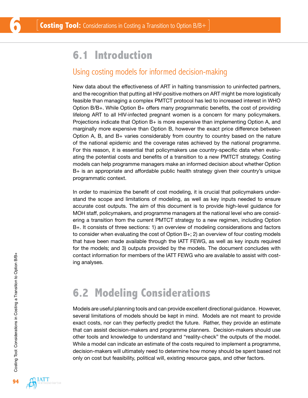## **6.1 Introduction**

#### Using costing models for informed decision-making

New data about the effectiveness of ART in halting transmission to uninfected partners, and the recognition that putting all HIV-positive mothers on ART might be more logistically feasible than managing a complex PMTCT protocol has led to increased interest in WHO Option B/B+. While Option B+ offers many programmatic benefits, the cost of providing lifelong ART to all HIV-infected pregnant women is a concern for many policymakers. Projections indicate that Option B+ is more expensive than implementing Option A, and marginally more expensive than Option B, however the exact price difference between Option A, B, and B+ varies considerably from country to country based on the nature of the national epidemic and the coverage rates achieved by the national programme. For this reason, it is essential that policymakers use country-specific data when evaluating the potential costs and benefits of a transition to a new PMTCT strategy. Costing models can help programme managers make an informed decision about whether Option B+ is an appropriate and affordable public health strategy given their country's unique programmatic context.

In order to maximize the benefit of cost modeling, it is crucial that policymakers understand the scope and limitations of modeling, as well as key inputs needed to ensure accurate cost outputs. The aim of this document is to provide high-level guidance for MOH staff, policymakers, and programme managers at the national level who are considering a transition from the current PMTCT strategy to a new regimen, including Option B+. It consists of three sections: 1) an overview of modeling considerations and factors to consider when evaluating the cost of Option B+; 2) an overview of four costing models that have been made available through the IATT FEWG, as well as key inputs required for the models; and 3) outputs provided by the models. The document concludes with contact information for members of the IATT FEWG who are available to assist with costing analyses.

### **6.2 Modeling Considerations**

Models are useful planning tools and can provide excellent directional guidance. However, several limitations of models should be kept in mind. Models are not meant to provide exact costs, nor can they perfectly predict the future. Rather, they provide an estimate that can assist decision-makers and programme planners. Decision-makers should use other tools and knowledge to understand and "reality-check" the outputs of the model. While a model can indicate an estimate of the costs required to implement a programme, decision-makers will ultimately need to determine how money should be spent based not only on cost but feasibility, political will, existing resource gaps, and other factors.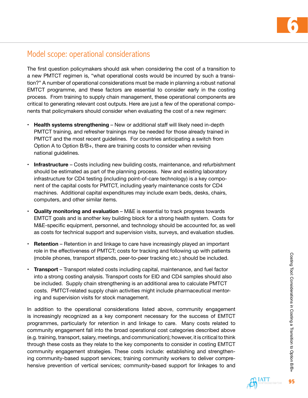

#### Model scope: operational considerations

The first question policymakers should ask when considering the cost of a transition to a new PMTCT regimen is, "what operational costs would be incurred by such a transition?" A number of operational considerations must be made in planning a robust national EMTCT programme, and these factors are essential to consider early in the costing process. From training to supply chain management, these operational components are critical to generating relevant cost outputs. Here are just a few of the operational components that policymakers should consider when evaluating the cost of a new regimen:

- **• Health systems strengthening**  New or additional staff will likely need in-depth PMTCT training, and refresher trainings may be needed for those already trained in PMTCT and the most recent guidelines. For countries anticipating a switch from Option A to Option B/B+, there are training costs to consider when revising national guidelines.
- **Infrastructure** Costs including new building costs, maintenance, and refurbishment should be estimated as part of the planning process. New and existing laboratory infrastructure for CD4 testing (including point-of-care technology) is a key component of the capital costs for PMTCT, including yearly maintenance costs for CD4 machines. Additional capital expenditures may include exam beds, desks, chairs, computers, and other similar items.
- **• Quality monitoring and evaluation**  M&E is essential to track progress towards EMTCT goals and is another key building block for a strong health system. Costs for M&E-specific equipment, personnel, and technology should be accounted for, as well as costs for technical support and supervision visits, surveys, and evaluation studies.
- **Retention** Retention in and linkage to care have increasingly played an important role in the effectiveness of PMTCT; costs for tracking and following up with patients (mobile phones, transport stipends, peer-to-peer tracking etc.) should be included.
- **• Transport**  Transport related costs including capital, maintenance, and fuel factor into a strong costing analysis. Transport costs for EID and CD4 samples should also be included. Supply chain strengthening is an additional area to calculate PMTCT costs. PMTCT-related supply chain activities might include pharmaceutical mentoring and supervision visits for stock management.

In addition to the operational considerations listed above, community engagement is increasingly recognized as a key component necessary for the success of EMTCT programmes, particularly for retention in and linkage to care. Many costs related to community engagement fall into the broad operational cost categories described above (e.g. training, transport, salary, meetings, and communication); however, it is critical to think through these costs as they relate to the key components to consider in costing EMTCT community engagement strategies. These costs include: establishing and strengthening community-based support services; training community workers to deliver comprehensive prevention of vertical services; community-based support for linkages to and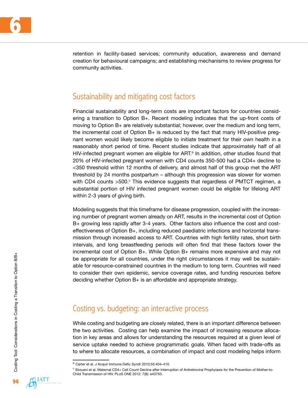

retention in facility-based services; community education, awareness and demand creation for behavioural campaigns; and establishing mechanisms to review progress for community activities.

#### Sustainability and mitigating cost factors

Financial sustainability and long-term costs are important factors for countries considering a transition to Option B+. Recent modeling indicates that the up-front costs of moving to Option B+ are relatively substantial; however, over the medium and long term, the incremental cost of Option B+ is reduced by the fact that many HIV-positive pregnant women would likely become eligible to initiate treatment for their own health in a reasonably short period of time. Recent studies indicate that approximately half of all HIV-infected pregnant women are eligible for  $ART<sup>b</sup>$  In addition, other studies found that 20% of HIV-infected pregnant women with CD4 counts 350-500 had a CD4+ decline to <350 threshold within 12 months of delivery, and almost half of this group met the ART threshold by 24 months postpartum – although this progression was slower for women with CD4 counts >500.<sup>c</sup> This evidence suggests that regardless of PMTCT regimen, a substantial portion of HIV infected pregnant women could be eligible for lifelong ART within 2-3 years of giving birth.

Modeling suggests that this timeframe for disease progression, coupled with the increasing number of pregnant women already on ART, results in the incremental cost of Option B+ growing less rapidly after 3-4 years. Other factors also influence the cost and costeffectiveness of Option B+, including reduced paediatric infections and horizontal transmission through increased access to ART. Countries with high fertility rates, short birth intervals, and long breastfeeding periods will often find that these factors lower the incremental cost of Option B+. While Option B+ remains more expensive and may not be appropriate for all countries, under the right circumstances it may well be sustainable for resource-constrained countries in the medium to long term. Countries will need to consider their own epidemic, service coverage rates, and funding resources before deciding whether Option B+ is an affordable and appropriate strategy.

#### Costing vs. budgeting: an interactive process

While costing and budgeting are closely related, there is an important difference between the two activities. Costing can help examine the impact of increasing resource allocation in key areas and allows for understanding the resources required at a given level of service uptake needed to achieve programmatic goals. When faced with trade-offs as to where to allocate resources, a combination of impact and cost modeling helps inform



b Carter et al. J Acquir Immune Defic Syndr 2010;55:404-410.

c Ekouevi et al. Maternal CD4+ Cell Count Decline after Interruption of Antiretroviral Prophylaxis for the Prevention of Mother-to-Child Transmission of HIV. PLoS ONE 2012: 7(8): e43750.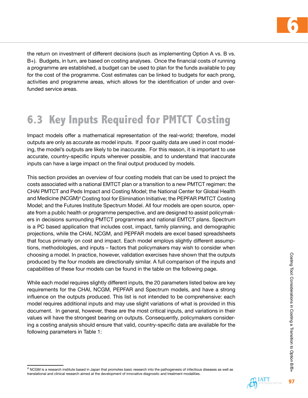

the return on investment of different decisions (such as implementing Option A vs. B vs. B+). Budgets, in turn, are based on costing analyses. Once the financial costs of running a programme are established, a budget can be used to plan for the funds available to pay for the cost of the programme. Cost estimates can be linked to budgets for each prong, activities and programme areas, which allows for the identification of under and overfunded service areas.

# **6.3 Key Inputs Required for PMTCT Costing**

Impact models offer a mathematical representation of the real-world; therefore, model outputs are only as accurate as model inputs. If poor quality data are used in cost modeling, the model's outputs are likely to be inaccurate. For this reason, it is important to use accurate, country-specific inputs wherever possible, and to understand that inaccurate inputs can have a large impact on the final output produced by models.

This section provides an overview of four costing models that can be used to project the costs associated with a national EMTCT plan or a transition to a new PMTCT regimen: the CHAI PMTCT and Peds Impact and Costing Model; the National Center for Global Health and Medicine (NCGM)<sup>d</sup> Costing tool for Elimination Initiative; the PEPFAR PMTCT Costing Model; and the Futures Institute Spectrum Model. All four models are open source, operate from a public health or programme perspective, and are designed to assist policymakers in decisions surrounding PMTCT programmes and national EMTCT plans. Spectrum is a PC based application that includes cost, impact, family planning, and demographic projections, while the CHAI, NCGM, and PEPFAR models are excel based spreadsheets that focus primarily on cost and impact. Each model employs slightly different assumptions, methodologies, and inputs – factors that policymakers may wish to consider when choosing a model. In practice, however, validation exercises have shown that the outputs produced by the four models are directionally similar. A full comparison of the inputs and capabilities of these four models can be found in the table on the following page.

While each model requires slightly different inputs, the 20 parameters listed below are key requirements for the CHAI, NCGM, PEPFAR and Spectrum models, and have a strong influence on the outputs produced. This list is not intended to be comprehensive: each model requires additional inputs and may use slight variations of what is provided in this document. In general, however, these are the most critical inputs, and variations in their values will have the strongest bearing on outputs. Consequently, policymakers considering a costing analysis should ensure that valid, country-specific data are available for the following parameters in Table 1:

 $<sup>d</sup>$  NCGM is a research institute based in Japan that promotes basic research into the pathogenesis of infectious diseases as well as</sup> translational and clinical research aimed at the development of innovative diagnostic and treatment modalities.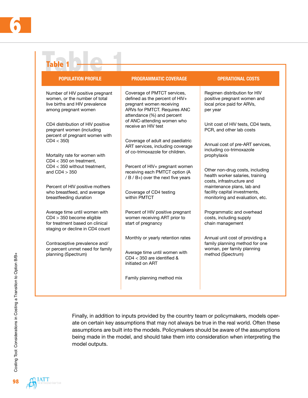| <b>Table 1</b>                                                                                                                     |                                                                                                                                                         |                                                                                                       |  |  |
|------------------------------------------------------------------------------------------------------------------------------------|---------------------------------------------------------------------------------------------------------------------------------------------------------|-------------------------------------------------------------------------------------------------------|--|--|
| <b>POPULATION PROFILE</b>                                                                                                          | <b>PROGRAMMATIC COVERAGE</b>                                                                                                                            | <b>OPERATIONAL COSTS</b>                                                                              |  |  |
| Number of HIV positive pregnant<br>women, or the number of total<br>live births and HIV prevalence<br>among pregnant women         | Coverage of PMTCT services,<br>defined as the percent of HIV+<br>pregnant women receiving<br>ARVs for PMTCT. Requires ANC<br>attendance (%) and percent | Regimen distribution for HIV<br>positive pregnant women and<br>local price paid for ARVs,<br>per year |  |  |
| CD4 distribution of HIV positive<br>pregnant women (including<br>percent of pregnant women with                                    | of ANC-attending women who<br>receive an HIV test                                                                                                       | Unit cost of HIV tests, CD4 tests,<br>PCR, and other lab costs                                        |  |  |
| CD4 < 350<br>Mortality rate for women with                                                                                         | Coverage of adult and paediatric<br>ART services, including coverage<br>of co-trimoxazole for children.                                                 | Annual cost of pre-ART services,<br>including co-trimoxazole<br>prophylaxis                           |  |  |
| $CD4 < 350$ on treatment,<br>$CD4 < 350$ without treatment,<br>and $CD4 > 350$                                                     | Percent of HIV+ pregnant women<br>receiving each PMTCT option (A<br>/ B / B+) over the next five years                                                  | Other non-drug costs, including<br>health worker salaries, training<br>costs, infrastructure and      |  |  |
| Percent of HIV positive mothers<br>who breastfeed, and average<br>breastfeeding duration                                           | Coverage of CD4 testing<br>within PMTCT                                                                                                                 | maintenance plans, lab and<br>facility capital investments,<br>monitoring and evaluation, etc.        |  |  |
| Average time until women with<br>$CD4 > 350$ become eligible<br>for treatment based on clinical<br>staging or decline in CD4 count | Percent of HIV positive pregnant<br>women receiving ART prior to<br>start of pregnancy                                                                  | Programmatic and overhead<br>costs, including supply<br>chain management                              |  |  |
| Contraceptive prevalence and/                                                                                                      | Monthly or yearly retention rates                                                                                                                       | Annual unit cost of providing a<br>family planning method for one                                     |  |  |
| or percent unmet need for family<br>planning (Spectrum)                                                                            | Average time until women with<br>$CD4 < 350$ are identified &<br>initiated on ART                                                                       | woman, per family planning<br>method (Spectrum)                                                       |  |  |
|                                                                                                                                    | Family planning method mix                                                                                                                              |                                                                                                       |  |  |

Finally, in addition to inputs provided by the country team or policymakers, models operate on certain key assumptions that may not always be true in the real world. Often these assumptions are built into the models. Policymakers should be aware of the assumptions being made in the model, and should take them into consideration when interpreting the model outputs.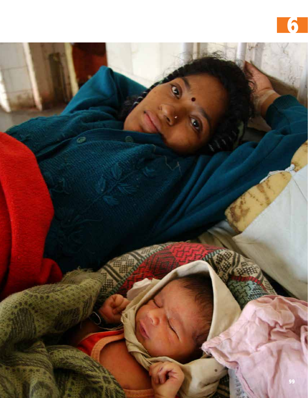

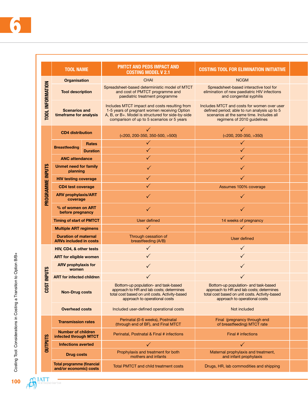|                         | <b>TOOL NAME</b>                                             |                 | <b>PMTCT AND PEDS IMPACT AND</b><br><b>COSTING MODEL V 2.1</b>                                                                                                                                   | <b>COSTING TOOL FOR ELIMINATION INITIATIVE</b>                                                                                                                         |  |
|-------------------------|--------------------------------------------------------------|-----------------|--------------------------------------------------------------------------------------------------------------------------------------------------------------------------------------------------|------------------------------------------------------------------------------------------------------------------------------------------------------------------------|--|
| <b>TOOL INFORMATION</b> | Organisation                                                 |                 | CHAI                                                                                                                                                                                             | <b>NCGM</b>                                                                                                                                                            |  |
|                         | <b>Tool description</b>                                      |                 | Spreadsheet-based deterministic model of MTCT<br>and cost of PMTCT programme and<br>paediatric treatment programme                                                                               | Spreadsheet-based interactive tool for<br>elimination of new paediatric HIV infections<br>and congenital syphilis                                                      |  |
|                         | <b>Scenarios and</b><br>timeframe for analysis               |                 | Includes MTCT impact and costs resulting from<br>1-5 years of pregnant women receiving Option<br>A, B, or B+. Model is structured for side-by-side<br>comparison of up to 5 scenarios or 5 years | Includes MTCT and costs for women over user<br>defined period; able to run analysis up to 5<br>scenarios at the same time. Includes all<br>regimens of 2010 guidelines |  |
|                         | <b>CD4</b> distribution                                      |                 | $(<$ 200, 200-350, 350-500, >500)                                                                                                                                                                | $(<200, 200-350, >350)$                                                                                                                                                |  |
|                         |                                                              | Rates           | $\checkmark$                                                                                                                                                                                     | $\checkmark$                                                                                                                                                           |  |
|                         | <b>Breastfeeding</b>                                         | <b>Duration</b> | ✓                                                                                                                                                                                                | $\checkmark$                                                                                                                                                           |  |
|                         | <b>ANC attendance</b>                                        |                 | $\checkmark$                                                                                                                                                                                     | $\checkmark$                                                                                                                                                           |  |
| <b>INPUTS</b>           | Unmet need for family<br>planning                            |                 | $\checkmark$                                                                                                                                                                                     | $\checkmark$                                                                                                                                                           |  |
|                         | <b>HIV testing coverage</b>                                  |                 | ✓                                                                                                                                                                                                | ✓                                                                                                                                                                      |  |
|                         | <b>CD4 test coverage</b>                                     |                 | $\checkmark$                                                                                                                                                                                     | Assumes 100% coverage                                                                                                                                                  |  |
| PROGRAMME               | <b>ARV prophylaxis/ART</b><br>coverage                       |                 | $\checkmark$                                                                                                                                                                                     | $\checkmark$                                                                                                                                                           |  |
|                         | % of women on ART<br>before pregnancy                        |                 | $\checkmark$                                                                                                                                                                                     | $\checkmark$                                                                                                                                                           |  |
|                         | <b>Timing of start of PMTCT</b>                              |                 | User defined                                                                                                                                                                                     | 14 weeks of pregnancy                                                                                                                                                  |  |
|                         | <b>Multiple ART regimens</b>                                 |                 | $\checkmark$                                                                                                                                                                                     | $\checkmark$                                                                                                                                                           |  |
|                         | <b>Duration of maternal</b><br><b>ARVs included in costs</b> |                 | Through cessation of<br>breastfeeding (A/B)                                                                                                                                                      | User defined                                                                                                                                                           |  |
|                         | HIV, CD4, & other tests                                      |                 |                                                                                                                                                                                                  | $\checkmark$                                                                                                                                                           |  |
|                         | <b>ART</b> for eligible women                                |                 |                                                                                                                                                                                                  |                                                                                                                                                                        |  |
|                         | <b>ARV prophylaxis for</b><br>women                          |                 |                                                                                                                                                                                                  |                                                                                                                                                                        |  |
| <b>NPUTS</b>            | <b>ART for infected children</b>                             |                 |                                                                                                                                                                                                  |                                                                                                                                                                        |  |
| <b>COST</b>             | <b>Non-Drug costs</b>                                        |                 | Bottom-up population- and task-based<br>approach to HR and lab costs; determines<br>total cost based on unit costs. Activity-based<br>approach to operational costs                              | Bottom-up population- and task-based<br>approach to HR and lab costs; determines<br>total cost based on unit costs. Activity-based<br>approach to operational costs    |  |
|                         | <b>Overhead costs</b>                                        |                 | Included user-defined operational costs                                                                                                                                                          | Not included                                                                                                                                                           |  |
|                         | <b>Transmission rates</b>                                    |                 | Perinatal (0-6 weeks), Postnatal<br>(through end of BF), and Final MTCT                                                                                                                          | Final (pregnancy through end<br>of breastfeeding) MTCT rate                                                                                                            |  |
| <b>OUTPUTS</b>          | <b>Number of children</b><br>infected through MTCT           |                 | Perinatal, Postnatal & Final # infections                                                                                                                                                        | Final # infections                                                                                                                                                     |  |
|                         | <b>Infections averted</b>                                    |                 | $\checkmark$                                                                                                                                                                                     | $\checkmark$                                                                                                                                                           |  |
|                         | <b>Drug costs</b>                                            |                 | Prophylaxis and treatment for both<br>mothers and infants                                                                                                                                        | Maternal prophylaxis and treatment,<br>and infant prophylaxis                                                                                                          |  |
|                         | Total programme (financial<br>and/or economic) costs         |                 | Total PMTCT and child treatment costs                                                                                                                                                            | Drugs, HR, lab commodities and shipping                                                                                                                                |  |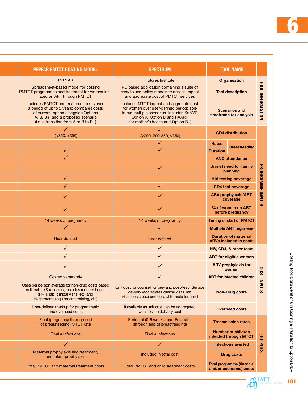| <b>TOOL NAME</b>                                             | <b>SPECTRUM</b>                                                                                                                                                                                          | <b>PEPFAR PMTCT COSTING MODEL</b>                                                                                                                                                                            |  |
|--------------------------------------------------------------|----------------------------------------------------------------------------------------------------------------------------------------------------------------------------------------------------------|--------------------------------------------------------------------------------------------------------------------------------------------------------------------------------------------------------------|--|
| <b>Organisation</b>                                          | <b>Futures Institute</b>                                                                                                                                                                                 | <b>PEPFAR</b>                                                                                                                                                                                                |  |
| <b>Tool description</b>                                      | PC based application containing a suite of<br>easy to use policy models to assess impact<br>and aggregate cost of PMTCT services                                                                         | Spreadsheet-based model for costing<br>PMTCT programmes and treatment for women initi-<br>ated on ART through PMTCT                                                                                          |  |
| <b>Scenarios and</b><br>timeframe for analysis               | Includes MTCT impact and aggregate cost<br>for women over user-defined period; able<br>to run multiple scenarios. Includes SdNVP,<br>Option A, Option B and HAART<br>(for mother's health and Option B+) | Includes PMTCT and treatment costs over<br>a period of up to 5 years; compares costs<br>of current option alongside Options<br>A, B, B+, and a proposed scenario<br>(i.e. a transition from A or B to $B+$ ) |  |
| <b>CD4</b> distribution                                      | ✓<br>$(<200, 200-350, >350)$                                                                                                                                                                             | ( <b>350</b> , <b>350</b> )                                                                                                                                                                                  |  |
| Rates                                                        | ✓                                                                                                                                                                                                        |                                                                                                                                                                                                              |  |
| <b>Duration</b>                                              |                                                                                                                                                                                                          | ✓                                                                                                                                                                                                            |  |
| <b>ANC attendance</b>                                        |                                                                                                                                                                                                          | $\checkmark$                                                                                                                                                                                                 |  |
| <b>Unmet need for family</b><br>planning                     | ✓                                                                                                                                                                                                        |                                                                                                                                                                                                              |  |
| <b>HIV testing coverage</b>                                  |                                                                                                                                                                                                          | $\checkmark$                                                                                                                                                                                                 |  |
| CD4 test coverage                                            | ✓                                                                                                                                                                                                        | $\checkmark$                                                                                                                                                                                                 |  |
| <b>ARV prophylaxis/ART</b><br>coverage                       |                                                                                                                                                                                                          |                                                                                                                                                                                                              |  |
| % of women on ART<br>before pregnancy                        |                                                                                                                                                                                                          | $\checkmark$                                                                                                                                                                                                 |  |
| <b>Timing of start of PMTCT</b>                              | 14 weeks of pregnancy                                                                                                                                                                                    | 14 weeks of pregnancy                                                                                                                                                                                        |  |
| <b>Multiple ART regimens</b>                                 | ✓                                                                                                                                                                                                        | $\checkmark$                                                                                                                                                                                                 |  |
| <b>Duration of maternal</b><br><b>ARVs included in costs</b> | User defined                                                                                                                                                                                             | User defined                                                                                                                                                                                                 |  |
| HIV, CD4, & other tests                                      |                                                                                                                                                                                                          | $\checkmark$                                                                                                                                                                                                 |  |
| <b>ART for eligible women</b>                                |                                                                                                                                                                                                          |                                                                                                                                                                                                              |  |
| <b>ARV</b> prophylaxis for<br>women                          |                                                                                                                                                                                                          |                                                                                                                                                                                                              |  |
| <b>ART</b> for infected children                             |                                                                                                                                                                                                          | Costed separately                                                                                                                                                                                            |  |
| <b>Non-Drug costs</b>                                        | delivery (aggregates clinical visits, lab<br>visits costs etc.) and cost of formula for child                                                                                                            | Uses per person average for non-drug costs based<br>on literature & research; includes recurrent costs<br>(HRH, lab, clinical visits, etc) and<br>investments (equipment, training, etc)                     |  |
| <b>Overhead costs</b>                                        | If available as unit cost can be aggregated<br>with service delivery cost                                                                                                                                | User-defined markup for programmatic<br>and overhead costs                                                                                                                                                   |  |
| <b>Transmission rates</b>                                    | Perinatal (0-6 weeks) and Postnatal<br>(through end of breastfeeding)                                                                                                                                    | Final (pregnancy through end<br>of breastfeeding) MTCT rate                                                                                                                                                  |  |
| <b>Number of children</b><br>infected through MTCT           | Final # infections                                                                                                                                                                                       | Final # infections                                                                                                                                                                                           |  |
| <b>Infections averted</b>                                    | $\checkmark$                                                                                                                                                                                             | $\checkmark$                                                                                                                                                                                                 |  |
| <b>Drug costs</b>                                            | Included in total cost                                                                                                                                                                                   | Maternal prophylaxis and treatment,<br>and infant prophylaxis                                                                                                                                                |  |
| Total programme (financial<br>and/or economic) costs         | Total PMTCT and child treatment costs                                                                                                                                                                    | Total PMTCT and maternal treatment costs                                                                                                                                                                     |  |
|                                                              | <b>TOOL INFORMATION</b><br><b>Breastfeeding</b><br>PROGRAMME INPUTS<br><b>LSO2</b><br><b>NPUTS</b><br><b>SLNdLNO</b>                                                                                     | Unit cost for counseling (pre- and post-test), Service                                                                                                                                                       |  |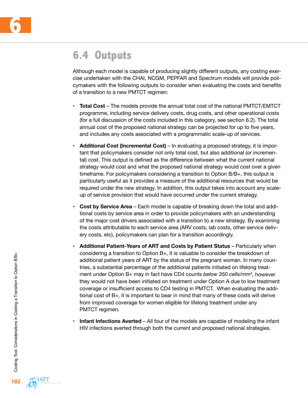

## **6.4 Outputs**

Although each model is capable of producing slightly different outputs, any costing exercise undertaken with the CHAI, NCGM, PEPFAR and Spectrum models will provide policymakers with the following outputs to consider when evaluating the costs and benefits of a transition to a new PMTCT regimen:

- **Total Cost** The models provide the annual total cost of the national PMTCT/EMTCT programme, including service delivery costs, drug costs, and other operational costs (for a full discussion of the costs included in this category, see section 6.2). The total annual cost of the proposed national strategy can be projected for up to five years, and includes any costs associated with a programmatic scale-up of services.
- **Additional Cost (Incremental Cost)** In evaluating a proposed strategy, it is important that policymakers consider not only total cost, but also additional (or incremental) cost. This output is defined as the difference between what the current national strategy would cost and what the proposed national strategy would cost over a given timeframe. For policymakers considering a transition to Option B/B+, this output is particularly useful as it provides a measure of the additional resources that would be required under the new strategy. In addition, this output takes into account any scaleup of service provision that would have occurred under the current strategy.
- **Cost by Service Area Each model is capable of breaking down the total and addi**tional costs by service area in order to provide policymakers with an understanding of the major cost drivers associated with a transition to a new strategy. By examining the costs attributable to each service area (ARV costs, lab costs, other service delivery costs, etc), policymakers can plan for a transition accordingly.
- **• Additional Patient-Years of ART and Costs by Patient Status** Particularly when considering a transition to Option B+, it is valuable to consider the breakdown of additional patient years of ART by the status of the pregnant woman. In many countries, a substantial percentage of the additional patients initiated on lifelong treatment under Option B+ may in fact have CD4 counts *below 350 cells/mm3 ,* however they would not have been initiated on treatment under Option A due to low treatment coverage or insufficient access to CD4 testing in PMTCT. When evaluating the additional cost of B+, it is important to bear in mind that many of these costs will derive from improved coverage for women eligible for lifelong treatment under any PMTCT regimen.
- **Infant Infections Averted** All four of the models are capable of modeling the infant HIV infections averted through both the current and proposed national strategies.